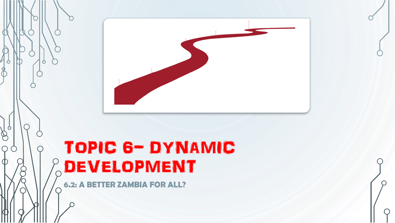

# TOPIC 6- DYNAMIC DEVELOPMENT

**6.2: A BETTER ZAMBIA FOR ALL?**

 $\circ$ 

 $\bigotimes$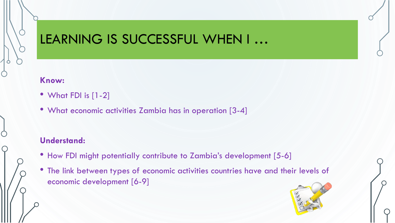### LEARNING IS SUCCESSFUL WHEN I …

#### **Know:**

- What FDI is [1-2]
- What economic activities Zambia has in operation [3-4]

#### **Understand:**

- How FDI might potentially contribute to Zambia's development [5-6]
- The link between types of economic activities countries have and their levels of economic development [6-9]

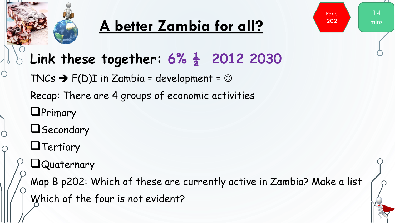

# **A better Zambia for all?**

 $1\,\Delta$ 

Page 202

mins

### **Link these together: 6% ½ 2012 2030**

TNCs  $\rightarrow$  F(D)I in Zambia = development =  $\odot$ 

Recap: There are 4 groups of economic activities

**OPrimary** 



#### **O**Tertiary

### **Quaternary**

Map B p202: Which of these are currently active in Zambia? Make a list Which of the four is not evident?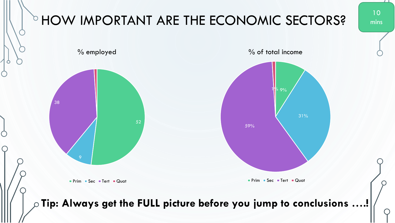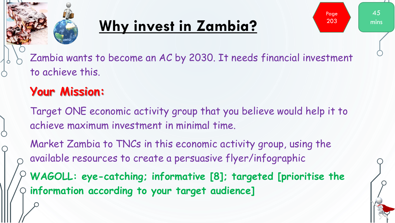

# **Why invest in Zambia?**



Zambia wants to become an AC by 2030. It needs financial investment to achieve this.

### **Your Mission:**

Target ONE economic activity group that you believe would help it to achieve maximum investment in minimal time.

Market Zambia to TNCs in this economic activity group, using the available resources to create a persuasive flyer/infographic

**WAGOLL: eye-catching; informative [8]; targeted [prioritise the information according to your target audience]**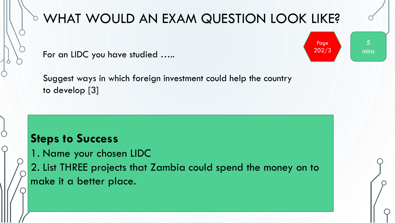

 $\bigcirc$ 

### **THAT WOULD AN EXAM QUESTION LOOK LIKE?**

For an LIDC you have studied ….. **Example 202/3** 

Suggest ways in which foreign investment could help the country to develop [3]

#### **Steps to Success**

1. Name your chosen LIDC 2. List THREE projects that Zambia could spend the money on to make it a better place.

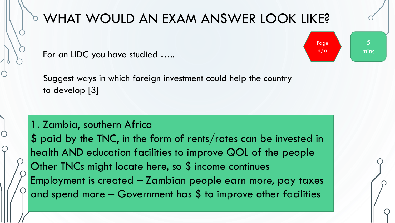

 $\bigcirc$ 

# **O WHAT WOULD AN EXAM ANSWER LOOK LIKE?**

5

Page

mins

For an LIDC you have studied ….. **For an LIDC** you have studied …..

Suggest ways in which foreign investment could help the country to develop [3]

#### 1. Zambia, southern Africa

\$ paid by the TNC, in the form of rents/rates can be invested in health AND education facilities to improve QOL of the people Other TNCs might locate here, so \$ income continues Employment is created – Zambian people earn more, pay taxes and spend more  $-$  Government has  $$$  to improve other facilities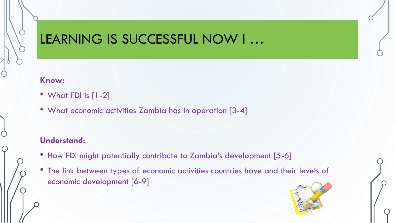### LEARNING IS SUCCESSFUL NOW I …

#### **Know:**

- What FDI is [1-2]
- What economic activities Zambia has in operation [3-4]

#### **Understand:**

- How FDI might potentially contribute to Zambia's development [5-6]
- The link between types of economic activities countries have and their levels of economic development [6-9]